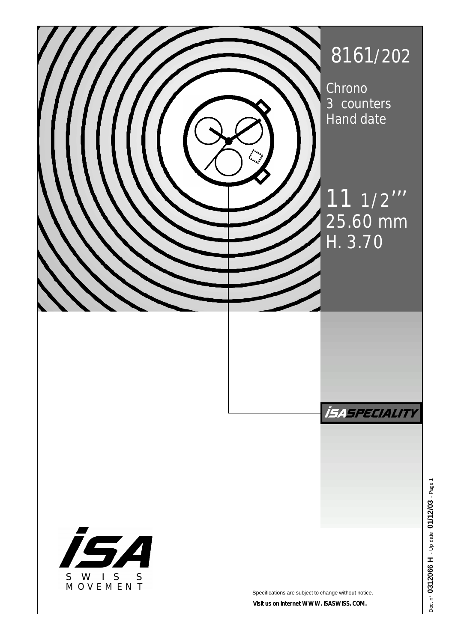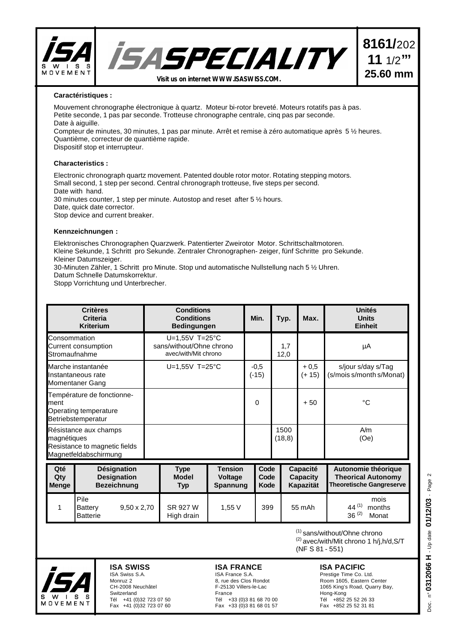

## **Caractéristiques :**

Mouvement chronographe électronique à quartz. Moteur bi-rotor breveté. Moteurs rotatifs pas à pas. Petite seconde, 1 pas par seconde. Trotteuse chronographe centrale, cinq pas par seconde. Date à aiguille.

Compteur de minutes, 30 minutes, 1 pas par minute. Arrêt et remise à zéro automatique après 5 ½ heures. Quantième, correcteur de quantième rapide.

Dispositif stop et interrupteur.

## **Characteristics :**

Electronic chronograph quartz movement. Patented double rotor motor. Rotating stepping motors. Small second, 1 step per second. Central chronograph trotteuse, five steps per second. Date with hand. 30 minutes counter, 1 step per minute. Autostop and reset after 5 ½ hours. Date, quick date corrector.

Stop device and current breaker.

### **Kennzeichnungen :**

Elektronisches Chronographen Quarzwerk. Patentierter Zweirotor Motor. Schrittschaltmotoren. Kleine Sekunde, 1 Schritt pro Sekunde. Zentraler Chronographen- zeiger, fünf Schritte pro Sekunde. Kleiner Datumszeiger.

30-Minuten Zähler, 1 Schritt pro Minute. Stop und automatische Nullstellung nach 5 ½ Uhren. Datum Schnelle Datumskorrektur.

Stopp Vorrichtung und Unterbrecher.

| <b>Critères</b><br><b>Criteria</b><br><b>Kriterium</b>                                         |                                                                 | <b>Conditions</b><br><b>Conditions</b><br><b>Bedingungen</b>         |                                       | Min.              |                      | Typ.                                            | Max.             | <b>Unités</b><br><b>Units</b><br><b>Einheit</b>                                     |
|------------------------------------------------------------------------------------------------|-----------------------------------------------------------------|----------------------------------------------------------------------|---------------------------------------|-------------------|----------------------|-------------------------------------------------|------------------|-------------------------------------------------------------------------------------|
| Consommation<br>Current consumption<br>Stromaufnahme                                           |                                                                 | $U=1,55V$ T=25°C<br>sans/without/Ohne chrono<br>avec/with/Mit chrono |                                       |                   |                      | 1,7<br>12,0                                     |                  | μA                                                                                  |
| Marche instantanée<br>Instantaneous rate<br>Momentaner Gang                                    |                                                                 | $U=1,55V$ T=25°C                                                     |                                       | $-0,5$<br>$(-15)$ |                      |                                                 | $+0,5$<br>(+ 15) | s/jour s/day s/Tag<br>(s/mois s/month s/Monat)                                      |
| Température de fonctionne-<br>ment<br>Operating temperature<br>Betriebstemperatur              |                                                                 |                                                                      |                                       | $\mathbf{0}$      |                      |                                                 | $+50$            | °C                                                                                  |
| Résistance aux champs<br>magnétiques<br>Resistance to magnetic fields<br>Magnetfeldabschirmung |                                                                 |                                                                      |                                       |                   |                      | 1500<br>(18, 8)                                 |                  | A/m<br>(0e)                                                                         |
| Qté<br>Qty<br><b>Menge</b>                                                                     | <b>Désignation</b><br><b>Designation</b><br><b>Bezeichnung</b>  | <b>Type</b><br><b>Model</b><br><b>Typ</b>                            | <b>Tension</b><br>Voltage<br>Spannung |                   | Code<br>Code<br>Kode | <b>Capacité</b><br><b>Capacity</b><br>Kapazität |                  | Autonomie théorique<br><b>Theorical Autonomy</b><br><b>Theoretische Gangreserve</b> |
| 1                                                                                              | Pile<br>$9,50 \times 2,70$<br><b>Battery</b><br><b>Batterie</b> | SR 927 W<br>High drain                                               | 1,55V                                 |                   | 399                  |                                                 | 55 mAh           | mois<br>44 $(1)$<br>months<br>$36^{(2)}$<br>Monat                                   |

(1) sans/without/Ohne chrono (2) avec/with/Mit chrono 1 h/j,h/d,S/T (NF S 81 - 551)

# **ISA PACIFIC**

Prestige Time Co. Ltd. Room 1605, Eastern Center 1065 King's Road, Quarry Bay, Hong-Kong Tél +852 25 52 26 33 Fax +852 25 52 31 81

n° 0312066 H - Up date 01/12/03 - Page 2 Doc. n° **0312066 H** - Up date **01/12/03** - Page 2 Doc.



# **ISA SWISS**  ISA Swiss S.A. Monruz 2 CH-2008 Neuchâtel

Switzerland Tél +41 (0)32 723 07 50 Fax +41 (0)32 723 07 60

#### **ISA FRANCE** ISA France S.A.

8, rue des Clos Rondot F-25130 Villers-le-Lac France Tél +33 (0)3 81 68 70 00 Fax +33 (0)3 81 68 01 57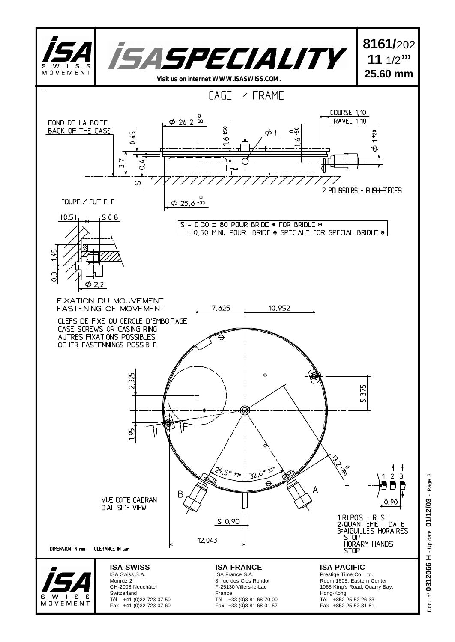

Doc. n° **0312066 H** - Up date **01/12/03** - Page 3 n° 0312066 H - Up date 01/12/03 - Page Doc.

 $\infty$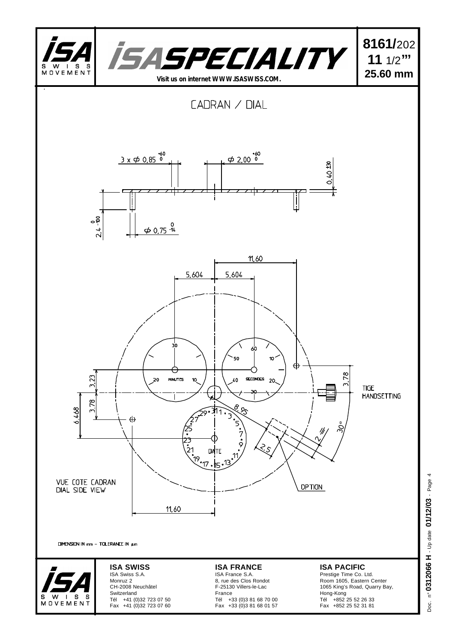

Fax +33 (0)3 81 68 01 57

Fax +41 (0)32 723 07 60

MOVEMENT

n° 0312066 H - Up date 01/12/03 - Page 4 Doc. n° **0312066 H** - Up date **01/12/03** - Page 4 Doc.

Fax +852 25 52 31 81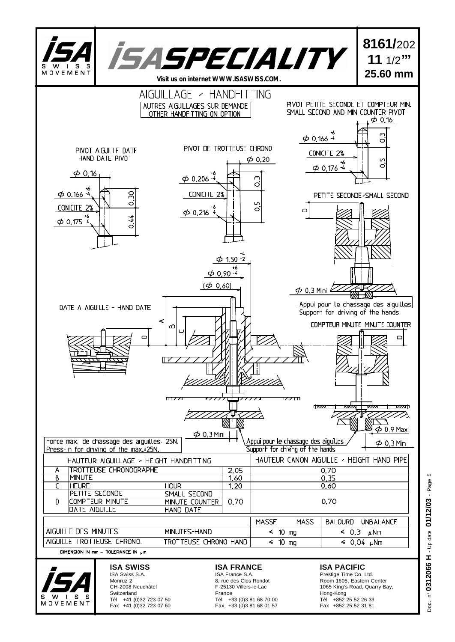

n° 0312066 H - Up date 01/12/03 - Page 5 Doc. n° **0312066 H** - Up date **01/12/03** - Page 5 Doc.